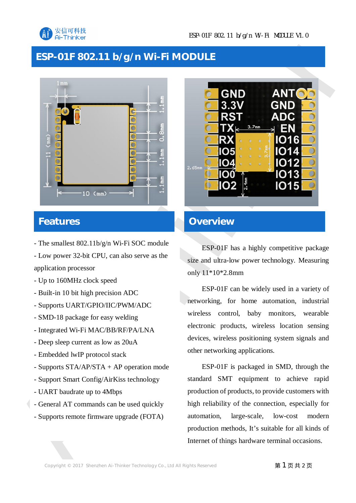

## **ESP-01F 802.11 b/g/n Wi-Fi MODULE**



### **Features**

- The smallest 802.11b/g/n Wi-Fi SOC module

- Low power 32-bit CPU, can also serve as the application processor

- Up to 160MHz clock speed
- Built-in 10 bit high precision ADC
- Supports UART/GPIO/IIC/PWM/ADC
- SMD-18 package for easy welding
- Integrated Wi-Fi MAC/BB/RF/PA/LNA
- Deep sleep current as low as 20uA
- Embedded lwIP protocol stack
- Supports STA/AP/STA + AP operation mode
- Support Smart Config/AirKiss technology
- UART baudrate up to 4Mbps
- General AT commands can be used quickly
- Supports remote firmware upgrade (FOTA)



#### **Overview**

ESP-01F has a highly competitive package size and ultra-low power technology. Measuring only 11\*10\*2.8mm

ESP-01F can be widely used in a variety of networking, for home automation, industrial wireless control, baby monitors, wearable electronic products, wireless location sensing devices, wireless positioning system signals and other networking applications.

ESP-01F is packaged in SMD, through the standard SMT equipment to achieve rapid production of products, to provide customers with high reliability of the connection, especially for automation, large-scale, low-cost modern production methods, It's suitable for all kinds of Internet of things hardware terminal occasions.